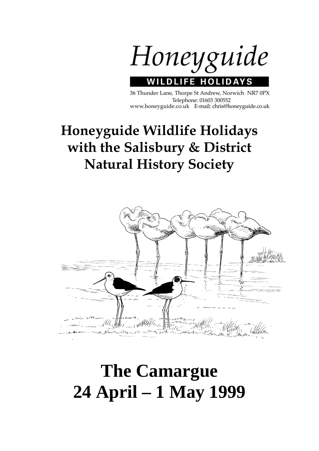

36 Thunder Lane, Thorpe St Andrew, Norwich NR7 0PX Telephone: 01603 300552 www.honeyguide.co.uk E-mail: chris@honeyguide.co.uk

## **Honeyguide Wildlife Holidays with the Salisbury & District Natural History Society**



# **The Camargue 24 April – 1 May 1999**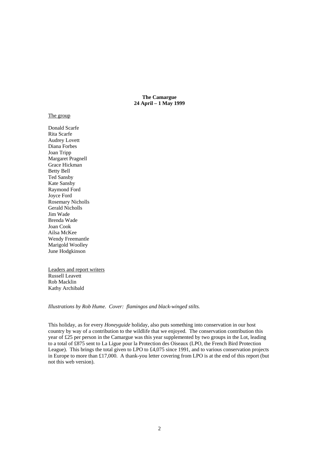**The Camargue 24 April – 1 May 1999** 

#### The group

Donald Scarfe Rita Scarfe Audrey Lovett Diana Forbes Joan Tripp Margaret Pragnell Grace Hickman Betty Bell Ted Sansby Kate Sansby Raymond Ford Joyce Ford Rosemary Nicholls Gerald Nicholls Jim Wade Brenda Wade Joan Cook Ailsa McKee Wendy Freemantle Marigold Woolley June Hodgkinson

Leaders and report writers Russell Leavett Rob Macklin Kathy Archibald

*Illustrations by Rob Hume. Cover: flamingos and black-winged stilts.* 

This holiday, as for every *Honeyguide* holiday, also puts something into conservation in our host country by way of a contribution to the wildlife that we enjoyed. The conservation contribution this year of £25 per person in the Camargue was this year supplemented by two groups in the Lot, leading to a total of £875 sent to La Ligue pour la Protection des Oiseaux (LPO, the French Bird Protection League). This brings the total given to LPO to £4,075 since 1991, and to various conservation projects in Europe to more than £17,000. A thank-you letter covering from LPO is at the end of this report (but not this web version).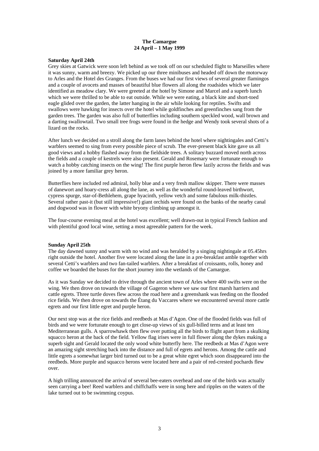#### **The Camargue 24 April – 1 May 1999**

#### **Saturday April 24th**

Grey skies at Gatwick were soon left behind as we took off on our scheduled flight to Marseilles where it was sunny, warm and breezy. We picked up our three minibuses and headed off down the motorway to Arles and the Hotel des Granges. From the buses we had our first views of several greater flamingos and a couple of avocets and masses of beautiful blue flowers all along the roadsides which we later identified as meadow clary. We were greeted at the hotel by Simone and Marcel and a superb lunch which we were thrilled to be able to eat outside. While we were eating, a black kite and short-toed eagle glided over the garden, the latter hanging in the air while looking for reptiles. Swifts and swallows were hawking for insects over the hotel while goldfinches and greenfinches sang from the garden trees. The garden was also full of butterflies including southern speckled wood, wall brown and a darting swallowtail. Two small tree frogs were found in the hedge and Wendy took several shots of a lizard on the rocks.

After lunch we decided on a stroll along the farm lanes behind the hotel where nightingales and Cetti's warblers seemed to sing from every possible piece of scrub. The ever-present black kite gave us all good views and a hobby flashed away from the fieldside trees. A solitary buzzard moved north across the fields and a couple of kestrels were also present. Gerald and Rosemary were fortunate enough to watch a hobby catching insects on the wing! The first purple heron flew lazily across the fields and was joined by a more familiar grey heron.

Butterflies here included red admiral, holly blue and a very fresh mallow skipper. There were masses of danewort and hoary-cress all along the lane, as well as the wonderful round-leaved birthwort, cypress spurge, star-of-Bethlehem, grape hyacinth, yellow vetch and some fabulous milk-thistles. Several rather past-it (but still impressive!) giant orchids were found on the banks of the nearby canal and dogwood was in flower with white bryony climbing up amongst it.

The four-course evening meal at the hotel was excellent; well drawn-out in typical French fashion and with plentiful good local wine, setting a most agreeable pattern for the week.

#### **Sunday April 25th**

The day dawned sunny and warm with no wind and was heralded by a singing nightingale at 05.45hrs right outside the hotel. Another five were located along the lane in a pre-breakfast amble together with several Cetti's warblers and two fan-tailed warblers. After a breakfast of croissants, rolls, honey and coffee we boarded the buses for the short journey into the wetlands of the Camargue.

As it was Sunday we decided to drive through the ancient town of Arles where 400 swifts were on the wing. We then drove on towards the village of Gageron where we saw our first marsh harriers and cattle egrets. Three turtle doves flew across the road here and a greenshank was feeding on the flooded rice fields. We then drove on towards the Étang du Vaccares where we encountered several more cattle egrets and our first little egret and purple heron.

Our next stop was at the rice fields and reedbeds at Mas d'Agon. One of the flooded fields was full of birds and we were fortunate enough to get close-up views of six gull-billed terns and at least ten Mediterranean gulls. A sparrowhawk then flew over putting all the birds to flight apart from a skulking squacco heron at the back of the field. Yellow flag irises were in full flower along the dykes making a superb sight and Gerald located the only wood white butterfly here. The reedbeds at Mas d'Agon were an amazing sight stretching back into the distance and full of egrets and herons. Among the cattle and little egrets a somewhat larger bird turned out to be a great white egret which soon disappeared into the reedbeds. More purple and squacco herons were located here and a pair of red-crested pochards flew over.

A high trilling announced the arrival of several bee-eaters overhead and one of the birds was actually seen carrying a bee! Reed warblers and chiffchaffs were in song here and ripples on the waters of the lake turned out to be swimming coypus.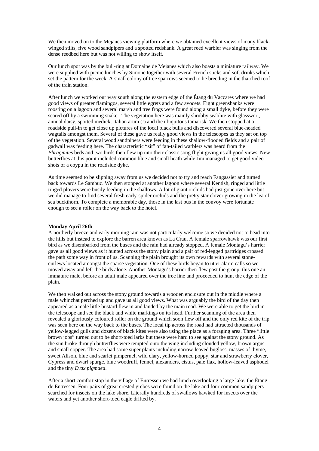We then moved on to the Mejanes viewing platform where we obtained excellent views of many blackwinged stilts, five wood sandpipers and a spotted redshank. A great reed warbler was singing from the dense reedbed here but was not willing to show itself.

Our lunch spot was by the bull-ring at Domaine de Mejanes which also boasts a miniature railway. We were supplied with picnic lunches by Simone together with several French sticks and soft drinks which set the pattern for the week. A small colony of tree sparrows seemed to be breeding in the thatched roof of the train station.

After lunch we worked our way south along the eastern edge of the Étang du Vaccares where we had good views of greater flamingos, several little egrets and a few avocets. Eight greenshanks were roosting on a lagoon and several marsh and tree frogs were found along a small dyke, before they were scared off by a swimming snake. The vegetation here was mainly shrubby seablite with glasswort, annual daisy, spotted medick, Italian arum (!) and the ubiquitous tamarisk. We then stopped at a roadside pull-in to get close up pictures of the local black bulls and discovered several blue-headed wagtails amongst them. Several of these gave us really good views in the telescopes as they sat on top of the vegetation. Several wood sandpipers were feeding in these shallow-flooded fields and a pair of gadwall was feeding here. The characteristic "zit" of fan-tailed warblers was heard from the *Phragmites* beds and two birds then flew up into their classic song flight giving us all good views. New butterflies at this point included common blue and small heath while Jim managed to get good video shots of a coypu in the roadside dyke.

As time seemed to be slipping away from us we decided not to try and reach Fangassier and turned back towards Le Sambuc. We then stopped at another lagoon where several Kentish, ringed and little ringed plovers were busily feeding in the shallows. A lot of giant orchids had just gone over here but we did manage to find several fresh early-spider orchids and the pretty star clover growing in the lea of sea buckthorn. To complete a memorable day, those in the last bus in the convoy were fortunate enough to see a roller on the way back to the hotel.

#### **Monday April 26th**

A northerly breeze and early morning rain was not particularly welcome so we decided not to head into the hills but instead to explore the barren area known as La Crau. A female sparrowhawk was our first bird as we disembarked from the buses and the rain had already stopped. A female Montagu's harrier gave us all good views as it hunted across the stony plain and a pair of red-legged partridges crossed the path some way in front of us. Scanning the plain brought its own rewards with several stonecurlews located amongst the sparse vegetation. One of these birds began to utter alarm calls so we moved away and left the birds alone. Another Montagu's harrier then flew past the group, this one an immature male, before an adult male appeared over the tree line and proceeded to hunt the edge of the plain.

We then walked out across the stony ground towards a wooden enclosure out in the middle where a male whinchat perched up and gave us all good views. What was arguably the bird of the day then appeared as a male little bustard flew in and landed by the main road. We were able to get the bird in the telescope and see the black and white markings on its head. Further scanning of the area then revealed a gloriously coloured roller on the ground which soon flew off and the only red kite of the trip was seen here on the way back to the buses. The local tip across the road had attracted thousands of yellow-legged gulls and dozens of black kites were also using the place as a foraging area. Three "little brown jobs" turned out to be short-toed larks but these were hard to see against the stony ground. As the sun broke through butterflies were tempted onto the wing including clouded yellow, brown argus and small copper. The area had some super plants including narrow-leaved bugloss, masses of thyme, sweet Alison, blue and scarlet pimpernel, wild clary, yellow-horned poppy, star and strawberry clover, Cypress and dwarf spurge, blue woodruff, fennel, alexanders, cistus, pale flax, hollow-leaved asphodel and the tiny *Evax pigmaea*.

After a short comfort stop in the village of Entressen we had lunch overlooking a large lake, the Étang de Entressen. Four pairs of great crested grebes were found on the lake and four common sandpipers searched for insects on the lake shore. Literally hundreds of swallows hawked for insects over the waters and yet another short-toed eagle drifted by.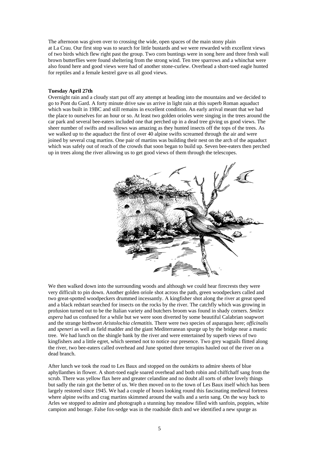The afternoon was given over to crossing the wide, open spaces of the main stony plain at La Crau. Our first stop was to search for little bustards and we were rewarded with excellent views of two birds which flew right past the group. Two corn buntings were in song here and three fresh wall brown butterflies were found sheltering from the strong wind. Ten tree sparrows and a whinchat were also found here and good views were had of another stone-curlew. Overhead a short-toed eagle hunted for reptiles and a female kestrel gave us all good views.

#### **Tuesday April 27th**

Overnight rain and a cloudy start put off any attempt at heading into the mountains and we decided to go to Pont du Gard. A forty minute drive saw us arrive in light rain at this superb Roman aquaduct which was built in 19BC and still remains in excellent condition. An early arrival meant that we had the place to ourselves for an hour or so. At least two golden orioles were singing in the trees around the car park and several bee-eaters included one that perched up in a dead tree giving us good views. The sheer number of swifts and swallows was amazing as they hunted insects off the tops of the trees. As we walked up to the aquaduct the first of over 40 alpine swifts screamed through the air and were joined by several crag martins. One pair of martins was building their nest on the arch of the aquaduct which was safely out of reach of the crowds that soon began to build up. Seven bee-eaters then perched up in trees along the river allowing us to get good views of them through the telescopes.



We then walked down into the surrounding woods and although we could hear firecrests they were very difficult to pin down. Another golden oriole shot across the path, green woodpeckers called and two great-spotted woodpeckers drummed incessantly. A kingfisher shot along the river at great speed and a black redstart searched for insects on the rocks by the river. The catchfly which was growing in profusion turned out to be the Italian variety and butchers broom was found in shady corners. *Smilex aspera* had us confused for a while but we were soon diverted by some beautiful Calabrian soapwort and the strange birthwort *Aristolochia clematitis.* There were two species of asparagus here; *officinalis* and *speneri* as well as field madder and the giant Mediterranean spurge up by the bridge near a mastic tree.We had lunch on the shingle bank by the river and were entertained by superb views of two kingfishers and a little egret, which seemed not to notice our presence. Two grey wagtails flitted along the river, two bee-eaters called overhead and June spotted three terrapins hauled out of the river on a dead branch.

After lunch we took the road to Les Baux and stopped on the outskirts to admire sheets of blue aphyllanthes in flower. A short-toed eagle soared overhead and both robin and chiffchaff sang from the scrub. There was yellow flax here and greater celandine and no doubt all sorts of other lovely things but sadly the rain got the better of us. We then moved on to the town of Les Baux itself which has been largely restored since 1945. We had a couple of hours looking round this fascinating medieval fortress where alpine swifts and crag martins skimmed around the walls and a serin sang. On the way back to Arles we stopped to admire and photograph a stunning hay meadow filled with sanfoin, poppies, white campion and borage. False fox-sedge was in the roadside ditch and we identified a new spurge as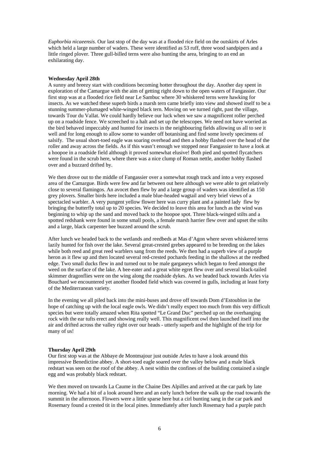*Euphorbia nicaeensis*. Our last stop of the day was at a flooded rice field on the outskirts of Arles which held a large number of waders. These were identified as 53 ruff, three wood sandpipers and a little ringed plover. Three gull-billed terns were also hunting the area, bringing to an end an exhilarating day.

#### **Wednesday April 28th**

A sunny and breezy start with conditions becoming hotter throughout the day. Another day spent in exploration of the Camargue with the aim of getting right down to the open waters of Fangassier. Our first stop was at a flooded rice field near Le Sambuc where 30 whiskered terns were hawking for insects. As we watched these superb birds a marsh tern came briefly into view and showed itself to be a stunning summer-plumaged white-winged black tern. Moving on we turned right, past the village, towards Tour du Vallat. We could hardly believe our luck when we saw a magnificent roller perched up on a roadside fence. We screeched to a halt and set up the telescopes. We need not have worried as the bird behaved impeccably and hunted for insects in the neighbouring fields allowing us all to see it well and for long enough to allow some to wander off botanising and find some lovely specimens of salsify. The usual short-toed eagle was soaring overhead and then a hobby flashed over the head of the roller and away across the fields. As if this wasn't enough we stopped near Fangassier to have a look at a hoopoe in a roadside field although it proved somewhat elusive! Both pied and spotted flycatchers were found in the scrub here, where there was a nice clump of Roman nettle, another hobby flashed over and a buzzard drifted by.

We then drove out to the middle of Fangassier over a somewhat rough track and into a very exposed area of the Camargue. Birds were few and far between out here although we were able to get relatively close to several flamingos. An avocet then flew by and a large group of waders was identified as 150 grey plovers. Smaller birds here included a male blue-headed wagtail and very brief views of a spectacled warbler. A very pungent yellow flower here was curry plant and a painted lady flew by bringing the butterfly total up to 20 species. We decided to leave this area for lunch as the wind was beginning to whip up the sand and moved back to the hoopoe spot. Three black-winged stilts and a spotted redshank were found in some small pools, a female marsh harrier flew over and upset the stilts and a large, black carpenter bee buzzed around the scrub.

After lunch we headed back to the wetlands and reedbeds at Mas d'Agon where seven whiskered terns lazily hunted for fish over the lake. Several great-crested grebes appeared to be breeding on the lakes while both reed and great reed warblers sang from the reeds. We then had a superb view of a purple heron as it flew up and then located several red-crested pochards feeding in the shallows at the reedbed edge. Two small ducks flew in and turned out to be male garganeys which began to feed amongst the weed on the surface of the lake. A bee-eater and a great white egret flew over and several black-tailed skimmer dragonflies were on the wing along the roadside dykes. As we headed back towards Arles via Bouchard we encountered yet another flooded field which was covered in gulls, including at least forty of the Mediterranean variety.

In the evening we all piled back into the mini-buses and drove off towards Dom d'Estoublon in the hope of catching up with the local eagle owls. We didn't really expect too much from this very difficult species but were totally amazed when Rita spotted "Le Grand Duc" perched up on the overhanging rock with the ear tufts erect and showing really well. This magnificent owl then launched itself into the air and drifted across the valley right over our heads - utterly superb and the highlight of the trip for many of us!

#### **Thursday April 29th**

Our first stop was at the Abbaye de Montmajour just outside Arles to have a look around this impressive Benedictine abbey. A short-toed eagle soared over the valley below and a male black redstart was seen on the roof of the abbey. A nest within the confines of the building contained a single egg and was probably black redstart.

We then moved on towards La Caume in the Chaine Des Alpilles and arrived at the car park by late morning. We had a bit of a look around here and an early lunch before the walk up the road towards the summit in the afternoon. Flowers were a little sparse here but a cirl bunting sang in the car park and Rosemary found a crested tit in the local pines. Immediately after lunch Rosemary had a purple patch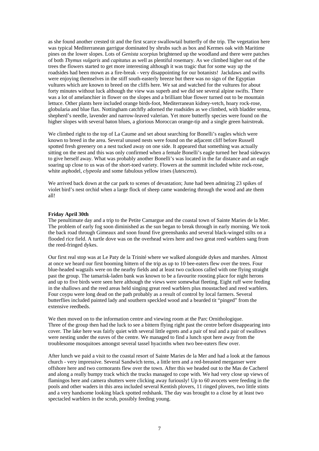as she found another crested tit and the first scarce swallowtail butterfly of the trip. The vegetation here was typical Mediterranean garrigue dominated by shrubs such as box and Kermes oak with Maritime pines on the lower slopes. Lots of *Genista scorpius* brightened up the woodland and there were patches of both *Thymus vulgaris* and *capitatus* as well as plentiful rosemary. As we climbed higher out of the trees the flowers started to get more interesting although it was tragic that for some way up the roadsides had been mown as a fire-break - very disappointing for our botanists! Jackdaws and swifts were enjoying themselves in the stiff south-easterly breeze but there was no sign of the Egyptian vultures which are known to breed on the cliffs here. We sat and watched for the vultures for about forty minutes without luck although the view was superb and we did see several alpine swifts. There was a lot of amelanchier in flower on the slopes and a brilliant blue flower turned out to be mountain lettuce. Other plants here included orange birds-foot, Mediterranean kidney-vetch, hoary rock-rose, globularia and blue flax. Nottingham catchfly adorned the roadsides as we climbed, with bladder senna, shepherd's needle, lavender and narrow-leaved valerian. Yet more butterfly species were found on the higher slopes with several baton blues, a glorious Moroccan orange-tip and a single green hairstreak.

We climbed right to the top of La Caume and set about searching for Bonelli's eagles which were known to breed in the area. Several unused nests were found on the adjacent cliff before Russell spotted fresh greenery on a nest tucked away on one side. It appeared that something was actually sitting on the nest and this was only confirmed when a female Bonelli's eagle turned her head sideways to give herself away. What was probably another Bonelli's was located in the far distance and an eagle soaring up close to us was of the short-toed variety. Flowers at the summit included white rock-rose, white asphodel, *clypeola* and some fabulous yellow irises (*lutescens*).

We arrived back down at the car park to scenes of devastation; June had been admiring 23 spikes of violet bird's nest orchid when a large flock of sheep came wandering through the wood and ate them all!

#### **Friday April 30th**

The penultimate day and a trip to the Petite Camargue and the coastal town of Sainte Maries de la Mer. The problem of early fog soon diminished as the sun began to break through in early morning. We took the back road through Gimeaux and soon found five greenshanks and several black-winged stilts on a flooded rice field. A turtle dove was on the overhead wires here and two great reed warblers sang from the reed-fringed dykes.

Our first real stop was at Le Paty de la Trinité where we walked alongside dykes and marshes. Almost at once we heard our first booming bittern of the trip as up to 10 bee-eaters flew over the trees. Four blue-headed wagtails were on the nearby fields and at least two cuckoos called with one flying straight past the group. The tamarisk-laden bank was known to be a favourite roosting place for night herons and up to five birds were seen here although the views were somewhat fleeting. Eight ruff were feeding in the shallows and the reed areas held singing great reed warblers plus moustached and reed warblers. Four coypu were long dead on the path probably as a result of control by local farmers. Several butterflies included painted lady and southern speckled wood and a bearded tit "pinged" from the extensive reedbeds.

We then moved on to the information centre and viewing room at the Parc Ornithologique. Three of the group then had the luck to see a bittern flying right past the centre before disappearing into cover. The lake here was fairly quiet with several little egrets and a pair of teal and a pair of swallows were nesting under the eaves of the centre. We managed to find a lunch spot here away from the troublesome mosquitoes amongst several tassel hyacinths when two bee-eaters flew over.

After lunch we paid a visit to the coastal resort of Sainte Maries de la Mer and had a look at the famous church - very impressive. Several Sandwich terns, a little tern and a red-breasted merganser were offshore here and two cormorants flew over the town. After this we headed out to the Mas de Cacherel and along a really bumpy track which the trucks managed to cope with. We had very close up views of flamingos here and camera shutters were clicking away furiously! Up to 60 avocets were feeding in the pools and other waders in this area included several Kentish plovers, 11 ringed plovers, two little stints and a very handsome looking black spotted redshank. The day was brought to a close by at least two spectacled warblers in the scrub, possibly feeding young.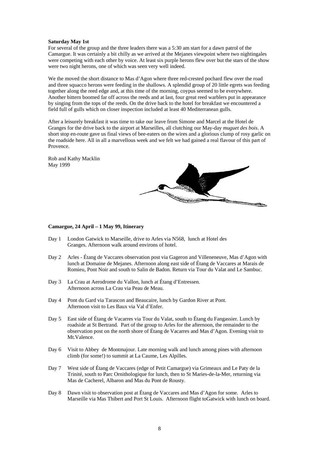#### **Saturday May 1st**

For several of the group and the three leaders there was a 5:30 am start for a dawn patrol of the Camargue. It was certainly a bit chilly as we arrived at the Mejanes viewpoint where two nightingales were competing with each other by voice. At least six purple herons flew over but the stars of the show were two night herons, one of which was seen very well indeed.

We the moved the short distance to Mas d'Agon where three red-crested pochard flew over the road and three squacco herons were feeding in the shallows. A splendid group of 20 little egrets was feeding together along the reed edge and, at this time of the morning, coypus seemed to be everywhere. Another bittern boomed far off across the reeds and at last, four great reed warblers put in appearance by singing from the tops of the reeds. On the drive back to the hotel for breakfast we encountered a field full of gulls which on closer inspection included at least 40 Mediterranean gulls.

After a leisurely breakfast it was time to take our leave from Simone and Marcel at the Hotel de Granges for the drive back to the airport at Marseilles, all clutching our May-day *muguet des bois*. A short stop en-route gave us final views of bee-eaters on the wires and a glorious clump of rosy garlic on the roadside here. All in all a marvellous week and we felt we had gained a real flavour of this part of Provence.

Rob and Kathy Macklin May 1999



#### **Camargue, 24 April – 1 May 99, Itinerary**

- Day 1 London Gatwick to Marseille, drive to Arles via N568, lunch at Hotel des Granges. Afternoon walk around environs of hotel.
- Day 2 Arles Étang de Vaccares observation post via Gageron and Villeneneuve, Mas d'Agon with lunch at Domaine de Mejanes. Afternoon along east side of Étang de Vaccares at Marais de Romieu, Pont Noir and south to Salin de Badon. Return via Tour du Valat and Le Sambuc.
- Day 3 La Crau at Aerodrome du Vallon, lunch at Étang d'Entressen. Afternoon across La Crau via Peau de Meau.
- Day 4 Pont du Gard via Tarascon and Beaucaire, lunch by Gardon River at Pont. Afternoon visit to Les Baux via Val d'Enfer.
- Day 5 East side of Étang de Vacarres via Tour du Valat, south to Étang du Fangassier. Lunch by roadside at St Bertrand. Part of the group to Arles for the afternoon, the remainder to the observation post on the north shore of Étang de Vacarres and Mas d'Agon. Evening visit to Mt.Valence.
- Day 6 Visit to Abbey de Montmajour. Late morning walk and lunch among pines with afternoon climb (for some!) to summit at La Caume, Les Alpilles.
- Day 7 West side of Étang de Vaccares (edge of Petit Camargue) via Grimeaux and Le Paty de la Trinité, south to Parc Ornithologique for lunch, then to St Maries-de-la-Mer, returning via Mas de Cacherel, Albaron and Mas du Pont de Rousty.
- Day 8 Dawn visit to observation post at Étang de Vaccares and Mas d'Agon for some. Arles to Marseille via Mas Thibert and Port St Louis. Afternoon flight toGatwick with lunch on board.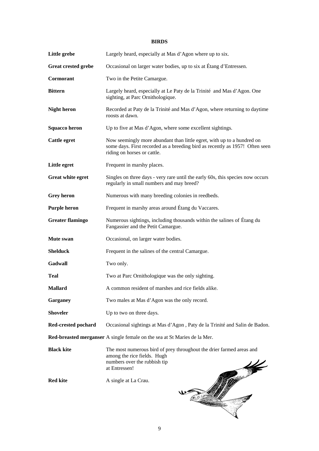### **BIRDS**

| Little grebe               | Largely heard, especially at Mas d'Agon where up to six.                                                                                                                              |
|----------------------------|---------------------------------------------------------------------------------------------------------------------------------------------------------------------------------------|
| <b>Great crested grebe</b> | Occasional on larger water bodies, up to six at Étang d'Entressen.                                                                                                                    |
| Cormorant                  | Two in the Petite Camargue.                                                                                                                                                           |
| <b>Bittern</b>             | Largely heard, especially at Le Paty de la Trinité and Mas d'Agon. One<br>sighting, at Parc Ornithologique.                                                                           |
| <b>Night heron</b>         | Recorded at Paty de la Trinité and Mas d'Agon, where returning to daytime<br>roosts at dawn.                                                                                          |
| <b>Squacco heron</b>       | Up to five at Mas d'Agon, where some excellent sightings.                                                                                                                             |
| <b>Cattle egret</b>        | Now seemingly more abundant than little egret, with up to a hundred on<br>some days. First recorded as a breeding bird as recently as 1957! Often seen<br>riding on horses or cattle. |
| Little egret               | Frequent in marshy places.                                                                                                                                                            |
| <b>Great white egret</b>   | Singles on three days - very rare until the early 60s, this species now occurs<br>regularly in small numbers and may breed?                                                           |
| <b>Grey heron</b>          | Numerous with many breeding colonies in reedbeds.                                                                                                                                     |
| <b>Purple heron</b>        | Frequent in marshy areas around Étang du Vaccares.                                                                                                                                    |
| <b>Greater flamingo</b>    | Numerous sightings, including thousands within the salines of Étang du<br>Fangassier and the Petit Camargue.                                                                          |
| Mute swan                  | Occasional, on larger water bodies.                                                                                                                                                   |
| <b>Shelduck</b>            | Frequent in the salines of the central Camargue.                                                                                                                                      |
| Gadwall                    | Two only.                                                                                                                                                                             |
| <b>Teal</b>                | Two at Parc Ornithologique was the only sighting.                                                                                                                                     |
| <b>Mallard</b>             | A common resident of marshes and rice fields alike.                                                                                                                                   |
| Garganey                   | Two males at Mas d'Agon was the only record.                                                                                                                                          |
| <b>Shoveler</b>            | Up to two on three days.                                                                                                                                                              |
| Red-crested pochard        | Occasional sightings at Mas d'Agon, Paty de la Trinité and Salin de Badon.                                                                                                            |
|                            | Red-breasted merganser A single female on the sea at St Maries de la Mer.                                                                                                             |
| <b>Black kite</b>          | The most numerous bird of prey throughout the drier farmed areas and<br>among the rice fields. Hugh<br>numbers over the rubbish tip<br>at Entressen!                                  |
| <b>Red kite</b>            | A single at La Crau.                                                                                                                                                                  |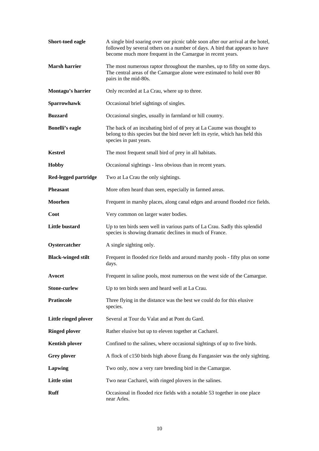| Short-toed eagle          | A single bird soaring over our picnic table soon after our arrival at the hotel,<br>followed by several others on a number of days. A bird that appears to have<br>become much more frequent in the Camargue in recent years. |
|---------------------------|-------------------------------------------------------------------------------------------------------------------------------------------------------------------------------------------------------------------------------|
| <b>Marsh harrier</b>      | The most numerous raptor throughout the marshes, up to fifty on some days.<br>The central areas of the Camargue alone were estimated to hold over 80<br>pairs in the mid-80s.                                                 |
| Montagu's harrier         | Only recorded at La Crau, where up to three.                                                                                                                                                                                  |
| Sparrowhawk               | Occasional brief sightings of singles.                                                                                                                                                                                        |
| <b>Buzzard</b>            | Occasional singles, usually in farmland or hill country.                                                                                                                                                                      |
| <b>Bonelli's eagle</b>    | The back of an incubating bird of of prey at La Caume was thought to<br>belong to this species but the bird never left its eyrie, which has held this<br>species in past years.                                               |
| <b>Kestrel</b>            | The most frequent small bird of prey in all habitats.                                                                                                                                                                         |
| <b>Hobby</b>              | Occasional sightings - less obvious than in recent years.                                                                                                                                                                     |
| Red-legged partridge      | Two at La Crau the only sightings.                                                                                                                                                                                            |
| <b>Pheasant</b>           | More often heard than seen, especially in farmed areas.                                                                                                                                                                       |
| <b>Moorhen</b>            | Frequent in marshy places, along canal edges and around flooded rice fields.                                                                                                                                                  |
| Coot                      | Very common on larger water bodies.                                                                                                                                                                                           |
| Little bustard            | Up to ten birds seen well in various parts of La Crau. Sadly this splendid<br>species is showing dramatic declines in much of France.                                                                                         |
| Oystercatcher             | A single sighting only.                                                                                                                                                                                                       |
| <b>Black-winged stilt</b> | Frequent in flooded rice fields and around marshy pools - fifty plus on some<br>days.                                                                                                                                         |
| Avocet                    | Frequent in saline pools, most numerous on the west side of the Camargue.                                                                                                                                                     |
| <b>Stone-curlew</b>       | Up to ten birds seen and heard well at La Crau.                                                                                                                                                                               |
| <b>Pratincole</b>         | Three flying in the distance was the best we could do for this elusive<br>species.                                                                                                                                            |
| Little ringed plover      | Several at Tour du Valat and at Pont du Gard.                                                                                                                                                                                 |
| <b>Ringed plover</b>      | Rather elusive but up to eleven together at Cacharel.                                                                                                                                                                         |
| <b>Kentish plover</b>     | Confined to the salines, where occasional sightings of up to five birds.                                                                                                                                                      |
| <b>Grey plover</b>        | A flock of c150 birds high above Étang du Fangassier was the only sighting.                                                                                                                                                   |
| Lapwing                   | Two only, now a very rare breeding bird in the Camargue.                                                                                                                                                                      |
| <b>Little stint</b>       | Two near Cacharel, with ringed plovers in the salines.                                                                                                                                                                        |
| <b>Ruff</b>               | Occasional in flooded rice fields with a notable 53 together in one place<br>near Arles.                                                                                                                                      |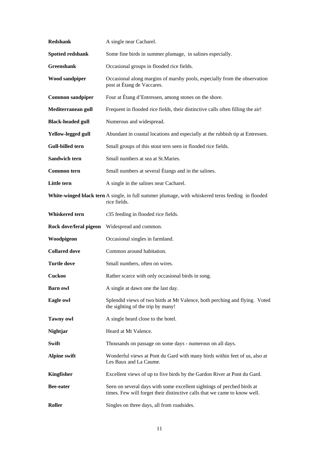| <b>Redshank</b>          | A single near Cacharel.                                                                                                                             |
|--------------------------|-----------------------------------------------------------------------------------------------------------------------------------------------------|
| Spotted redshank         | Some fine birds in summer plumage, in salines especially.                                                                                           |
| <b>Greenshank</b>        | Occasional groups in flooded rice fields.                                                                                                           |
| <b>Wood sandpiper</b>    | Occasional along margins of marshy pools, especially from the observation<br>post at Étang de Vaccares.                                             |
| <b>Common sandpiper</b>  | Four at Étang d'Entressen, among stones on the shore.                                                                                               |
| Mediterranean gull       | Frequent in flooded rice fields, their distinctive calls often filling the air!                                                                     |
| <b>Black-headed gull</b> | Numerous and widespread.                                                                                                                            |
| Yellow-legged gull       | Abundant in coastal locations and especially at the rubbish tip at Entressen.                                                                       |
| Gull-billed tern         | Small groups of this stout tern seen in flooded rice fields.                                                                                        |
| <b>Sandwich tern</b>     | Small numbers at sea at St.Maries.                                                                                                                  |
| <b>Common tern</b>       | Small numbers at several Étangs and in the salines.                                                                                                 |
| Little tern              | A single in the salines near Cacharel.                                                                                                              |
|                          | White-winged black tern A single, in full summer plumage, with whiskered terns feeding in flooded<br>rice fields.                                   |
| Whiskered tern           | c35 feeding in flooded rice fields.                                                                                                                 |
| Rock dove/feral pigeon   | Widespread and common.                                                                                                                              |
| Woodpigeon               | Occasional singles in farmland.                                                                                                                     |
| <b>Collared dove</b>     | Common around habitation.                                                                                                                           |
| <b>Turtle dove</b>       | Small numbers, often on wires.                                                                                                                      |
| <b>Cuckoo</b>            | Rather scarce with only occasional birds in song.                                                                                                   |
| <b>Barn owl</b>          | A single at dawn one the last day.                                                                                                                  |
| Eagle owl                | Splendid views of two birds at Mt Valence, both perching and flying. Voted<br>the sighting of the trip by many!                                     |
| <b>Tawny owl</b>         | A single heard close to the hotel.                                                                                                                  |
| <b>Nightjar</b>          | Heard at Mt Valence.                                                                                                                                |
| Swift                    | Thousands on passage on some days - numerous on all days.                                                                                           |
| <b>Alpine swift</b>      | Wonderful views at Pont du Gard with many birds within feet of us, also at<br>Les Baux and La Caume.                                                |
| Kingfisher               | Excellent views of up to five birds by the Gardon River at Pont du Gard.                                                                            |
| <b>Bee-eater</b>         | Seen on several days with some excellent sightings of perched birds at<br>times. Few will forget their distinctive calls that we came to know well. |
| Roller                   | Singles on three days, all from roadsides.                                                                                                          |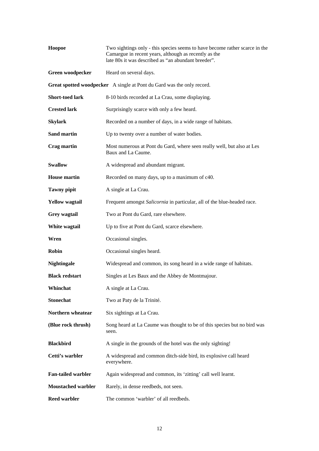| Hoopoe                    | Two sightings only - this species seems to have become rather scarce in the<br>Camargue in recent years, although as recently as the<br>late 80s it was described as "an abundant breeder". |
|---------------------------|---------------------------------------------------------------------------------------------------------------------------------------------------------------------------------------------|
| Green woodpecker          | Heard on several days.                                                                                                                                                                      |
|                           | Great spotted woodpecker A single at Pont du Gard was the only record.                                                                                                                      |
| <b>Short-toed lark</b>    | 8-10 birds recorded at La Crau, some displaying.                                                                                                                                            |
| <b>Crested lark</b>       | Surprisingly scarce with only a few heard.                                                                                                                                                  |
| <b>Skylark</b>            | Recorded on a number of days, in a wide range of habitats.                                                                                                                                  |
| Sand martin               | Up to twenty over a number of water bodies.                                                                                                                                                 |
| <b>Crag martin</b>        | Most numerous at Pont du Gard, where seen really well, but also at Les<br>Baux and La Caume.                                                                                                |
| <b>Swallow</b>            | A widespread and abundant migrant.                                                                                                                                                          |
| <b>House martin</b>       | Recorded on many days, up to a maximum of c40.                                                                                                                                              |
| <b>Tawny pipit</b>        | A single at La Crau.                                                                                                                                                                        |
| <b>Yellow</b> wagtail     | Frequent amongst Salicornia in particular, all of the blue-headed race.                                                                                                                     |
| Grey wagtail              | Two at Pont du Gard, rare elsewhere.                                                                                                                                                        |
| White wagtail             | Up to five at Pont du Gard, scarce elsewhere.                                                                                                                                               |
| Wren                      | Occasional singles.                                                                                                                                                                         |
| <b>Robin</b>              | Occasional singles heard.                                                                                                                                                                   |
| <b>Nightingale</b>        | Widespread and common, its song heard in a wide range of habitats.                                                                                                                          |
| <b>Black redstart</b>     | Singles at Les Baux and the Abbey de Montmajour.                                                                                                                                            |
| Whinchat                  | A single at La Crau.                                                                                                                                                                        |
| <b>Stonechat</b>          | Two at Paty de la Trinité.                                                                                                                                                                  |
| Northern wheatear         | Six sightings at La Crau.                                                                                                                                                                   |
| (Blue rock thrush)        | Song heard at La Caume was thought to be of this species but no bird was<br>seen.                                                                                                           |
| <b>Blackbird</b>          | A single in the grounds of the hotel was the only sighting!                                                                                                                                 |
| Cetti's warbler           | A widespread and common ditch-side bird, its explosive call heard<br>everywhere.                                                                                                            |
| <b>Fan-tailed warbler</b> | Again widespread and common, its 'zitting' call well learnt.                                                                                                                                |
| <b>Moustached warbler</b> | Rarely, in dense reedbeds, not seen.                                                                                                                                                        |
| <b>Reed warbler</b>       | The common 'warbler' of all reedbeds.                                                                                                                                                       |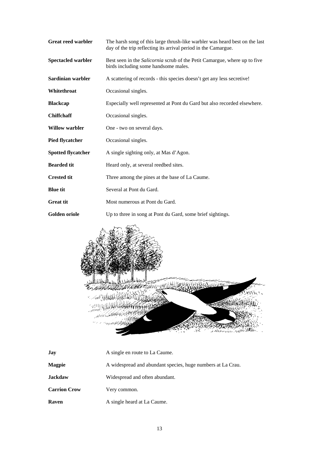| <b>Great reed warbler</b> | The harsh song of this large thrush-like warbler was heard best on the last<br>day of the trip reflecting its arrival period in the Camargue. |
|---------------------------|-----------------------------------------------------------------------------------------------------------------------------------------------|
| Spectacled warbler        | Best seen in the <i>Salicornia</i> scrub of the Petit Camargue, where up to five<br>birds including some handsome males.                      |
| Sardinian warbler         | A scattering of records - this species doesn't get any less secretive!                                                                        |
| Whitethroat               | Occasional singles.                                                                                                                           |
| <b>Blackcap</b>           | Especially well represented at Pont du Gard but also recorded elsewhere.                                                                      |
| <b>Chiffchaff</b>         | Occasional singles.                                                                                                                           |
| <b>Willow warbler</b>     | One - two on several days.                                                                                                                    |
| <b>Pied flycatcher</b>    | Occasional singles.                                                                                                                           |
| <b>Spotted flycatcher</b> | A single sighting only, at Mas d'Agon.                                                                                                        |
| <b>Bearded tit</b>        | Heard only, at several reedbed sites.                                                                                                         |
| <b>Crested tit</b>        | Three among the pines at the base of La Caume.                                                                                                |
| <b>Blue tit</b>           | Several at Pont du Gard.                                                                                                                      |
| <b>Great tit</b>          | Most numerous at Pont du Gard.                                                                                                                |
| Golden oriole             | Up to three in song at Pont du Gard, some brief sightings.                                                                                    |



| Jay                 | A single en route to La Caume.                              |
|---------------------|-------------------------------------------------------------|
| <b>Magpie</b>       | A widespread and abundant species, huge numbers at La Crau. |
| <b>Jackdaw</b>      | Widespread and often abundant.                              |
| <b>Carrion Crow</b> | Very common.                                                |
| Raven               | A single heard at La Caume.                                 |